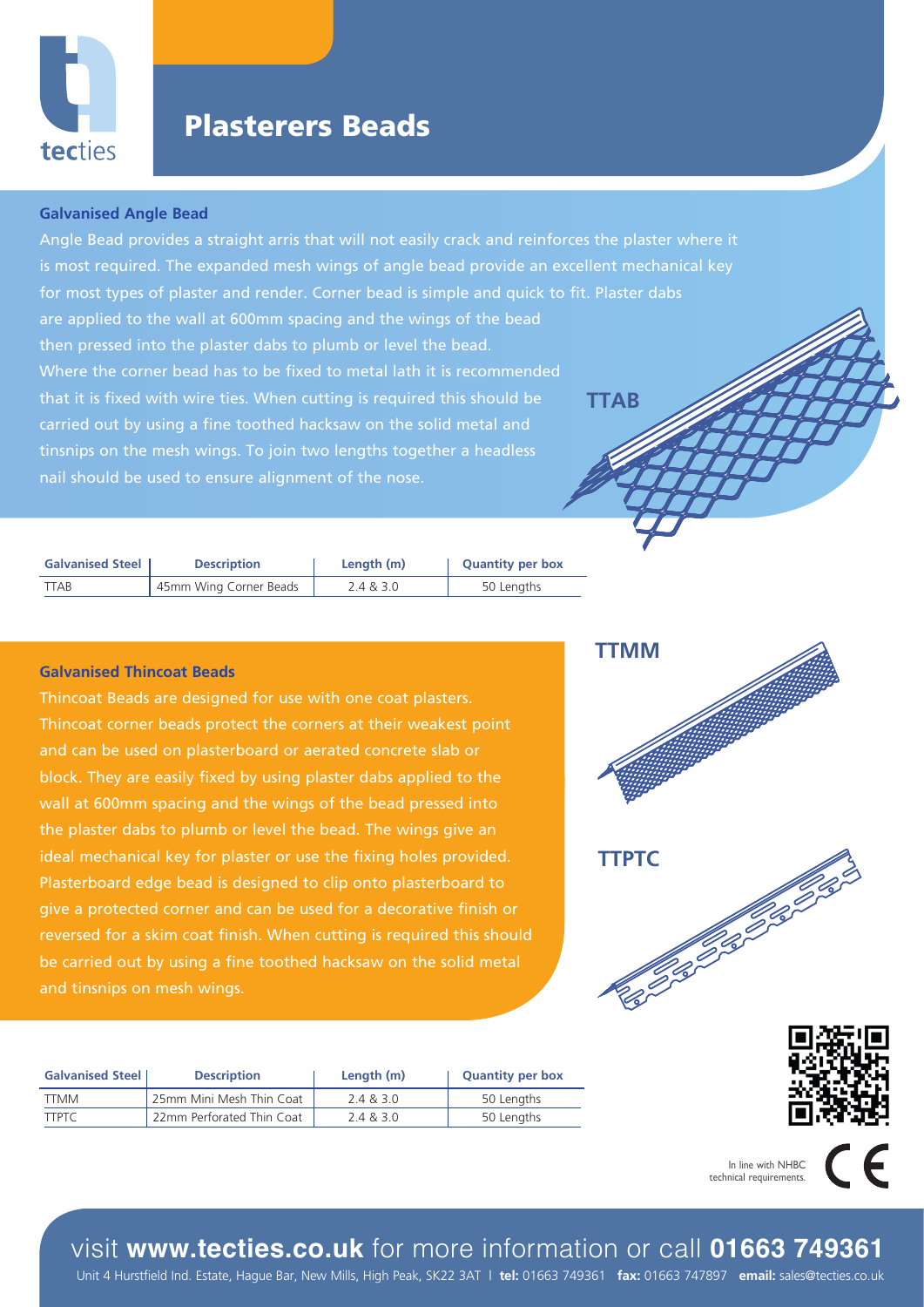

# Plasterers Beads

### **Galvanised Angle Bead**

Angle Bead provides a straight arris that will not easily crack and reinforces the plaster where it is most required. The expanded mesh wings of angle bead provide an excellent mechanical key for most types of plaster and render. Corner bead is simple and quick to fit. Plaster dabs are applied to the wall at 600mm spacing and the wings of the bead then pressed into the plaster dabs to plumb or level the bead. Where the corner bead has to be fixed to metal lath it is recommended that it is fixed with wire ties. When cutting is required this should be carried out by using a fine toothed hacksaw on the solid metal and tinsnips on the mesh wings. To join two lengths together a headless nail should be used to ensure alignment of the nose. **TTAB**

| <b>Galvanised Steel</b> | <b>Description</b>     | Length (m) | <b>Quantity per box</b> |
|-------------------------|------------------------|------------|-------------------------|
| TTAB                    | 45mm Wing Corner Beads | 2.4 & 3.0  | 50 Lengths              |

### **Galvanised Thincoat Beads**

Thincoat Beads are designed for use with one coat plasters. Thincoat corner beads protect the corners at their weakest point and can be used on plasterboard or aerated concrete slab or block. They are easily fixed by using plaster dabs applied to the wall at 600mm spacing and the wings of the bead pressed into the plaster dabs to plumb or level the bead. The wings give an ideal mechanical key for plaster or use the fixing holes provided. Plasterboard edge bead is designed to clip onto plasterboard to give a protected corner and can be used for a decorative finish or reversed for a skim coat finish. When cutting is required this should be carried out by using a fine toothed hacksaw on the solid metal

| <b>Galvanised Steel</b> | <b>Description</b>        | Length (m) | <b>Quantity per box</b> |
|-------------------------|---------------------------|------------|-------------------------|
| <b>TTMM</b>             | 25mm Mini Mesh Thin Coat  | 2.4 & 3.0  | 50 Lengths              |
| <b>TTPTC</b>            | 22mm Perforated Thin Coat | 2.4 & 3.0  | 50 Lengths              |







In line with NHBC technical requirements.

visit **www.tecties.co.uk** for more information or call **01663 749361**

Unit 4 Hurstfield Ind. Estate, Hague Bar, New Mills, High Peak, SK22 3AT | **tel:** 01663 749361 **fax:** 01663 747897 **email:** sales@tecties.co.uk